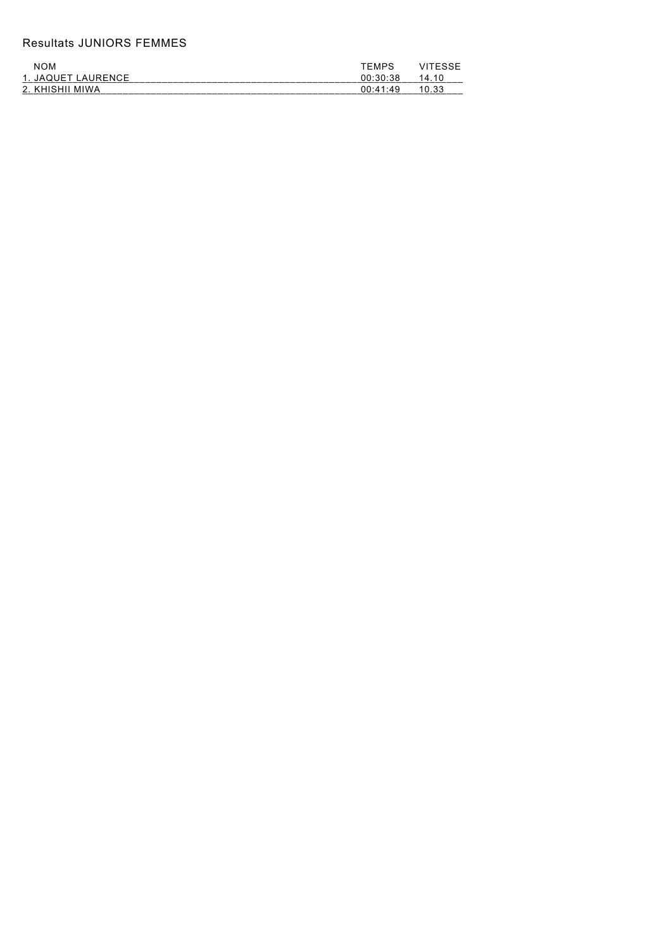## Resultats JUNIORS FEMMES

| <b>NOM</b>         | TEMPS    | VITESSE |
|--------------------|----------|---------|
| 1. JAQUET LAURENCE | 00:30:38 | 14.10   |
| 2. KHISHII MIWA    | 00:41:49 | 10.33   |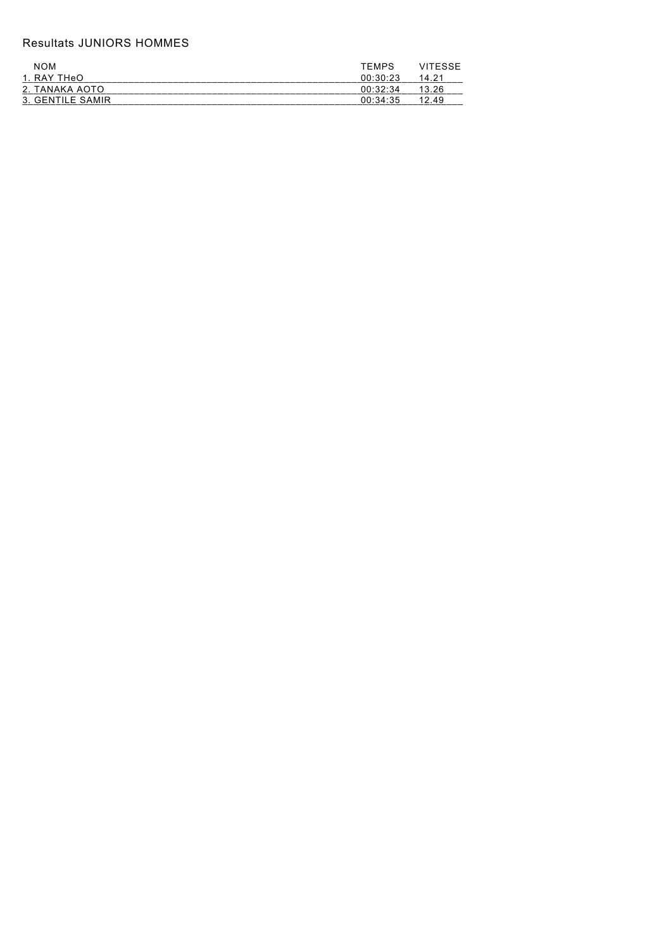## Resultats JUNIORS HOMMES

| <b>NOM</b>       | TEMPS VITESSE    |  |
|------------------|------------------|--|
| 1. RAY THeO      | $00:30:23$ 14 21 |  |
| 2. TANAKA AOTO   | $00.32.34$ 13.26 |  |
| 3. GENTILE SAMIR | $00.34.35$ 12.49 |  |
|                  |                  |  |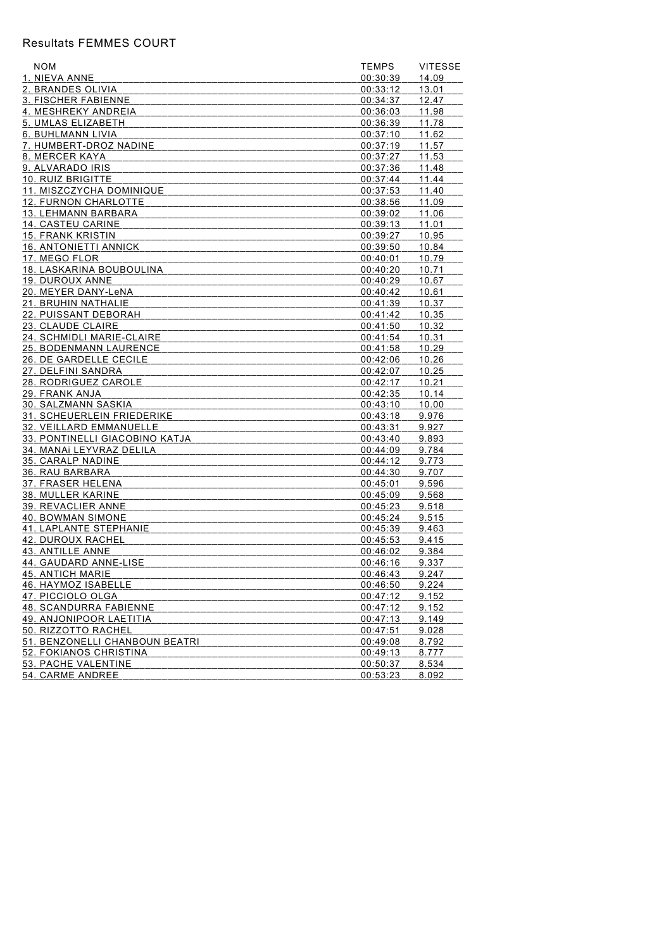## Resultats FEMMES COURT

| <b>NOM</b>                     | <b>TEMPS</b>         | <b>VITESSE</b> |
|--------------------------------|----------------------|----------------|
| 1. NIEVA ANNE                  | 00:30:39             | 14.09          |
| 2. BRANDES OLIVIA              | 00:33:12             | 13.01          |
| 3. FISCHER FABIENNE            | 00:34:37             | 12.47          |
| 4. MESHREKY ANDREIA            | 00:36:03             | 11.98          |
| 5. UMLAS ELIZABETH             | 00:36:39             | 11.78          |
| 6. BUHLMANN LIVIA              | 00:37:10             | 11.62          |
| 7. HUMBERT-DROZ NADINE         | 00:37:19             | 11.57          |
| 8. MERCER KAYA                 | 00:37:27             | 11.53          |
| 9. ALVARADO IRIS               | 00:37:36             | 11.48          |
| 10. RUIZ BRIGITTE              | 00:37:44             | 11.44          |
| 11. MISZCZYCHA DOMINIQUE       | 00:37:53             | 11.40          |
| 12. FURNON CHARLOTTE           | 00:38:56             | 11.09          |
| 13. LEHMANN BARBARA            | 00:39:02             | 11.06          |
| 14. CASTEU CARINE              | 00:39:13             | 11.01          |
| <b>15. FRANK KRISTIN</b>       | 00:39:27             | 10.95          |
| <b>16. ANTONIETTI ANNICK</b>   | 00:39:50             | 10.84          |
| 17. MEGO FLOR                  | 00:40:01             | 10.79          |
| 18. LASKARINA BOUBOULINA       | 00:40:20             | 10.71          |
| 19. DUROUX ANNE                | 00:40:29             | 10.67          |
| 20. MEYER DANY-LeNA            | 00:40:42             | 10.61          |
| 21. BRUHIN NATHALIE            | 00:41:39             | 10.37          |
| 22. PUISSANT DEBORAH           | 00:41:42             | 10.35          |
| 23. CLAUDE CLAIRE              | 00:41:50             | 10.32          |
| 24. SCHMIDLI MARIE-CLAIRE      | 00:41:54             | 10.31          |
| 25. BODENMANN LAURENCE         | 00:41:58             | 10.29          |
| 26. DE GARDELLE CECILE         | 00:42:06             | 10.26          |
| 27. DELFINI SANDRA             |                      |                |
| 28. RODRIGUEZ CAROLE           | 00:42:07             | 10.25<br>10.21 |
| 29. FRANK ANJA                 | 00:42:17             | 10.14          |
| 30. SALZMANN SASKIA            | 00:42:35<br>00:43:10 |                |
| 31. SCHEUERLEIN FRIEDERIKE     |                      | 10.00<br>9.976 |
|                                | 00:43:18             |                |
| 32. VEILLARD EMMANUELLE        | 00:43:31             | 9.927          |
| 33. PONTINELLI GIACOBINO KATJA | 00:43:40             | 9.893          |
| 34. MANAI LEYVRAZ DELILA       | 00:44:09             | 9.784          |
| 35. CARALP NADINE              | 00:44:12             | 9.773          |
| 36. RAU BARBARA                | 00:44:30             | 9.707          |
| 37. FRASER HELENA              | 00:45:01             | 9.596          |
| 38. MULLER KARINE              | 00:45:09             | 9.568          |
| 39. REVACLIER ANNE             | 00:45:23             | 9.518          |
| 40. BOWMAN SIMONE              | 00:45:24             | 9.515          |
| 41. LAPLANTE STEPHANIE         | 00:45:39             | 9.463          |
| 42. DUROUX RACHEL              | 00:45:53             | 9.415          |
| 43. ANTILLE ANNE               | 00:46:02             | 9.384          |
| 44. GAUDARD ANNE-LISE          | 00:46:16             | 9.337          |
| 45. ANTICH MARIE               | 00:46:43             | 9.247          |
| 46. HAYMOZ ISABELLE            | 00:46:50             | 9.224          |
| <u>47. PICCIOLO OLGA</u>       | 00:47:12             | 9.152          |
| 48. SCANDURRA FABIENNE         | 00:47:12             | 9.152          |
| 49. ANJONIPOOR LAETITIA        | 00:47:13             | 9.149          |
| 50. RIZZOTTO RACHEL            | 00:47:51             | 9.028          |
| 51. BENZONELLI CHANBOUN BEATRI | 00:49:08             | 8.792          |
| 52. FOKIANOS CHRISTINA         | 00:49:13             | 8.777          |
| 53. PACHE VALENTINE            | 00:50:37             | 8.534          |
| 54. CARME ANDREE               | 00:53:23             | 8.092          |